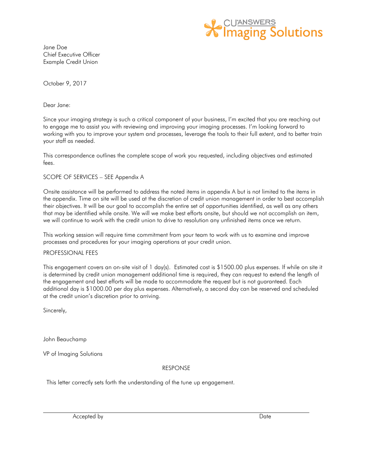

Jane Doe Chief Executive Officer Example Credit Union

October 9, 2017

Dear Jane:

Since your imaging strategy is such a critical component of your business, I'm excited that you are reaching out to engage me to assist you with reviewing and improving your imaging processes. I'm looking forward to working with you to improve your system and processes, leverage the tools to their full extent, and to better train your staff as needed.

This correspondence outlines the complete scope of work you requested, including objectives and estimated fees.

#### SCOPE OF SERVICES – SEE Appendix A

Onsite assistance will be performed to address the noted items in appendix A but is not limited to the items in the appendix. Time on site will be used at the discretion of credit union management in order to best accomplish their objectives. It will be our goal to accomplish the entire set of opportunities identified, as well as any others that may be identified while onsite. We will we make best efforts onsite, but should we not accomplish an item, we will continue to work with the credit union to drive to resolution any unfinished items once we return.

This working session will require time commitment from your team to work with us to examine and improve processes and procedures for your imaging operations at your credit union.

#### PROFESSIONAL FEES

This engagement covers an on-site visit of 1 day(s). Estimated cost is \$1500.00 plus expenses. If while on site it is determined by credit union management additional time is required, they can request to extend the length of the engagement and best efforts will be made to accommodate the request but is not guaranteed. Each additional day is \$1000.00 per day plus expenses. Alternatively, a second day can be reserved and scheduled at the credit union's discretion prior to arriving.

Sincerely,

John Beauchamp

VP of Imaging Solutions

### RESPONSE

This letter correctly sets forth the understanding of the tune up engagement.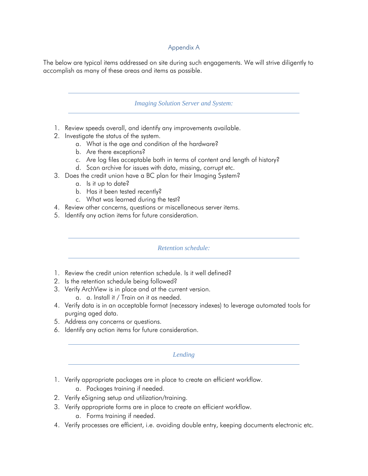# Appendix A

The below are typical items addressed on site during such engagements. We will strive diligently to accomplish as many of these areas and items as possible.

### *Imaging Solution Server and System:*

- 1. Review speeds overall, and identify any improvements available.
- 2. Investigate the status of the system.
	- a. What is the age and condition of the hardware?
	- b. Are there exceptions?
	- c. Are log files acceptable both in terms of content and length of history?
	- d. Scan archive for issues with data, missing, corrupt etc.
- 3. Does the credit union have a BC plan for their Imaging System?
	- a. Is it up to date?
	- b. Has it been tested recently?
	- c. What was learned during the test?
- 4. Review other concerns, questions or miscellaneous server items.
- 5. Identify any action items for future consideration.

### *Retention schedule:*

- 1. Review the credit union retention schedule. Is it well defined?
- 2. Is the retention schedule being followed?
- 3. Verify ArchView is in place and at the current version.
	- a. a. Install it / Train on it as needed.
- 4. Verify data is in an acceptable format (necessary indexes) to leverage automated tools for purging aged data.
- 5. Address any concerns or questions.
- 6. Identify any action items for future consideration.

### *Lending*

- 1. Verify appropriate packages are in place to create an efficient workflow.
	- a. Packages training if needed.
- 2. Verify eSigning setup and utilization/training.
- 3. Verify appropriate forms are in place to create an efficient workflow.
	- a. Forms training if needed.
- 4. Verify processes are efficient, i.e. avoiding double entry, keeping documents electronic etc.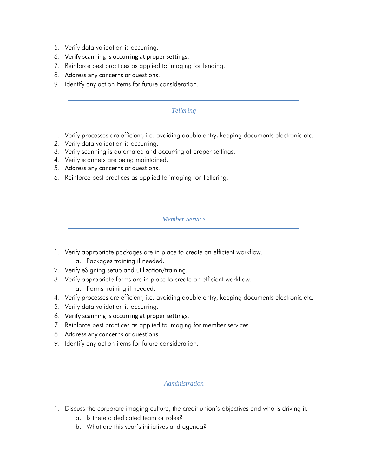- 5. Verify data validation is occurring.
- 6. Verify scanning is occurring at proper settings.
- 7. Reinforce best practices as applied to imaging for lending.
- 8. Address any concerns or questions.
- 9. Identify any action items for future consideration.

# *Tellering*

- 1. Verify processes are efficient, i.e. avoiding double entry, keeping documents electronic etc.
- 2. Verify data validation is occurring.
- 3. Verify scanning is automated and occurring at proper settings.
- 4. Verify scanners are being maintained.
- 5. Address any concerns or questions.
- 6. Reinforce best practices as applied to imaging for Tellering.

### *Member Service*

- 1. Verify appropriate packages are in place to create an efficient workflow.
	- a. Packages training if needed.
- 2. Verify eSigning setup and utilization/training.
- 3. Verify appropriate forms are in place to create an efficient workflow.
	- a. Forms training if needed.
- 4. Verify processes are efficient, i.e. avoiding double entry, keeping documents electronic etc.
- 5. Verify data validation is occurring.
- 6. Verify scanning is occurring at proper settings.
- 7. Reinforce best practices as applied to imaging for member services.
- 8. Address any concerns or questions.
- 9. Identify any action items for future consideration.

### *Administration*

- 1. Discuss the corporate imaging culture, the credit union's objectives and who is driving it.
	- a. Is there a dedicated team or roles?
	- b. What are this year's initiatives and agenda?